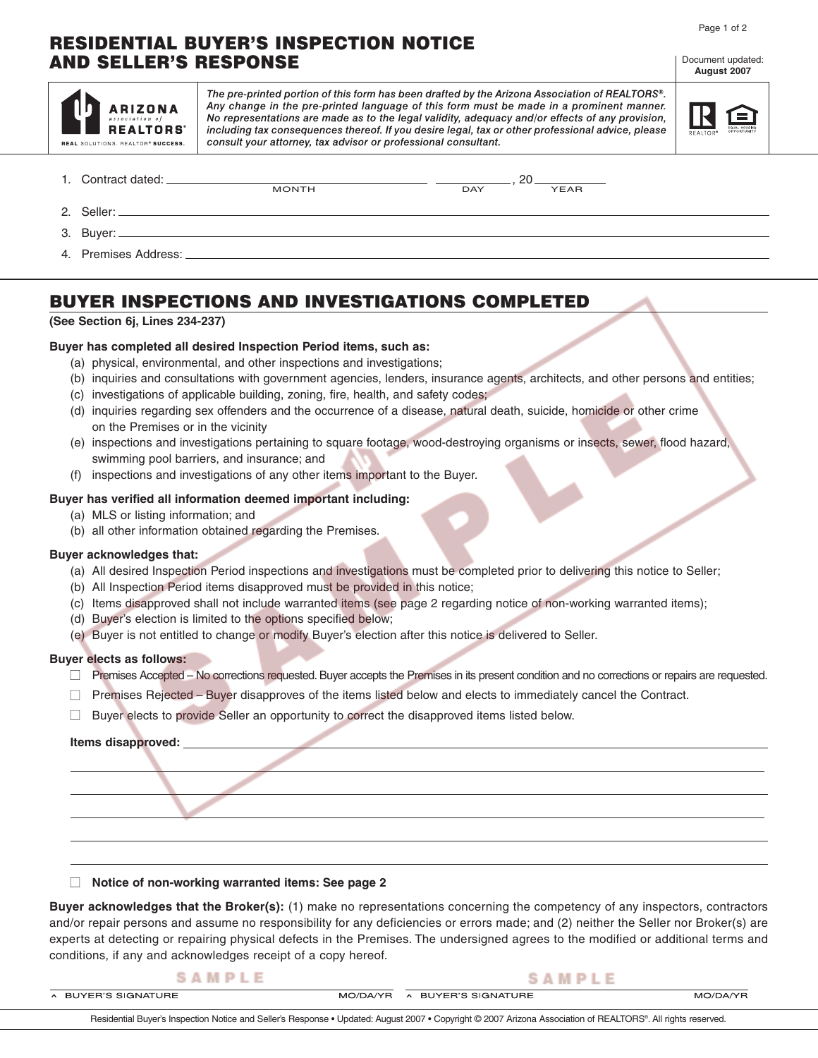#### Page 1 of 2

Document updated: **August 2007**

## **RESIDENTIAL BUYER'S INSPECTION NOTICE AND SELLER'S RESPONSE**

| <b>ARIZONA</b><br>association of<br><b>REALTORS</b><br>REAL SOLUTIONS. REALTOR® SUCCESS. | The pre-printed portion of this form has been drafted by the Arizona Association of REALTORS®.<br>Any change in the pre-printed language of this form must be made in a prominent manner.<br>No representations are made as to the legal validity, adequacy and/or effects of any provision,<br>including tax consequences thereof. If you desire legal, tax or other professional advice, please<br>consult your attorney, tax advisor or professional consultant. |     |      |  |
|------------------------------------------------------------------------------------------|---------------------------------------------------------------------------------------------------------------------------------------------------------------------------------------------------------------------------------------------------------------------------------------------------------------------------------------------------------------------------------------------------------------------------------------------------------------------|-----|------|--|
| 1. Contract dated:                                                                       | <b>MONTH</b>                                                                                                                                                                                                                                                                                                                                                                                                                                                        | DAY | YEAR |  |
| 2. Seller: _____                                                                         |                                                                                                                                                                                                                                                                                                                                                                                                                                                                     |     |      |  |
| Buver:                                                                                   |                                                                                                                                                                                                                                                                                                                                                                                                                                                                     |     |      |  |
| 4. Premises Address:                                                                     |                                                                                                                                                                                                                                                                                                                                                                                                                                                                     |     |      |  |

# **BUYER INSPECTIONS AND INVESTIGATIONS COMPLETED**

#### **(See Section 6j, Lines 234-237)**

#### **Buyer has completed all desired Inspection Period items, such as:**

- (a) physical, environmental, and other inspections and investigations;
- (b) inquiries and consultations with government agencies, lenders, insurance agents, architects, and other persons and entities;
- (c) investigations of applicable building, zoning, fire, health, and safety codes;
- (d) inquiries regarding sex offenders and the occurrence of a disease, natural death, suicide, homicide or other crime on the Premises or in the vicinity
- (e) inspections and investigations pertaining to square footage, wood-destroying organisms or insects, sewer, flood hazard, swimming pool barriers, and insurance; and
- (f) inspections and investigations of any other items important to the Buyer.

#### **Buyer has verified all information deemed important including:**

- (a) MLS or listing information; and
- (b) all other information obtained regarding the Premises.

### **Buyer acknowledges that:**

- (a) All desired Inspection Period inspections and investigations must be completed prior to delivering this notice to Seller;
- (b) All Inspection Period items disapproved must be provided in this notice;
- (c) Items disapproved shall not include warranted items (see page 2 regarding notice of non-working warranted items);
- (d) Buyer's election is limited to the options specified below;
- (e) Buyer is not entitled to change or modify Buyer's election after this notice is delivered to Seller.

#### **Buyer elects as follows:**

- □ Premises Accepted No corrections requested. Buyer accepts the Premises in its present condition and no corrections or repairs are requested.
- $\Box$  Premises Rejected Buyer disapproves of the items listed below and elects to immediately cancel the Contract.
- $\Box$  Buyer elects to provide Seller an opportunity to correct the disapproved items listed below.

#### **Items disapproved:**

■ **Notice of non-working warranted items: See page 2**

**Buyer acknowledges that the Broker(s):** (1) make no representations concerning the competency of any inspectors, contractors and/or repair persons and assume no responsibility for any deficiencies or errors made; and (2) neither the Seller nor Broker(s) are experts at detecting or repairing physical defects in the Premises. The undersigned agrees to the modified or additional terms and conditions, if any and acknowledges receipt of a copy hereof.

| SAMPLE                                                                                                                                                       |          | SAMPLE              |          |  |  |  |
|--------------------------------------------------------------------------------------------------------------------------------------------------------------|----------|---------------------|----------|--|--|--|
| A BUYER'S SIGNATURE                                                                                                                                          | MO/DA/YR | A BUYER'S SIGNATURE | MO/DA/YR |  |  |  |
| Residential Buyer's Inspection Notice and Seller's Response • Updated: August 2007 • Copyright © 2007 Arizona Association of REALTORS®. All rights reserved. |          |                     |          |  |  |  |